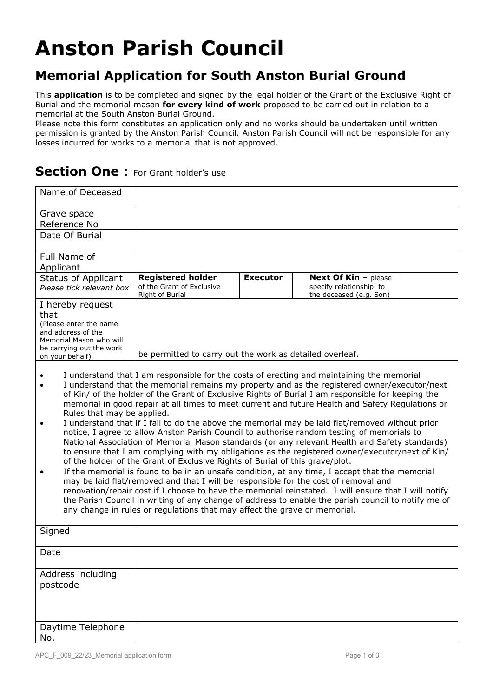# **Anston Parish Council**

### **Memorial Application for South Anston Burial Ground**

This **application** is to be completed and signed by the legal holder of the Grant of the Exclusive Right of Burial and the memorial mason **for every kind of work** proposed to be carried out in relation to a memorial at the South Anston Burial Ground.

Please note this form constitutes an application only and no works should be undertaken until written permission is granted by the Anston Parish Council. Anston Parish Council will not be responsible for any losses incurred for works to a memorial that is not approved.

### **Section One** : For Grant holder's use

| Name of Deceased                                                                                                                                                                                                                                                                                                                                                                                                                                                                                                                                                                                                                                                                                                                                                                                                                                                                                                                                                                                                                                                                                                                                                                                                                                                                                                                                                                                            |                                                          |                 |                                                    |  |  |  |
|-------------------------------------------------------------------------------------------------------------------------------------------------------------------------------------------------------------------------------------------------------------------------------------------------------------------------------------------------------------------------------------------------------------------------------------------------------------------------------------------------------------------------------------------------------------------------------------------------------------------------------------------------------------------------------------------------------------------------------------------------------------------------------------------------------------------------------------------------------------------------------------------------------------------------------------------------------------------------------------------------------------------------------------------------------------------------------------------------------------------------------------------------------------------------------------------------------------------------------------------------------------------------------------------------------------------------------------------------------------------------------------------------------------|----------------------------------------------------------|-----------------|----------------------------------------------------|--|--|--|
| Grave space                                                                                                                                                                                                                                                                                                                                                                                                                                                                                                                                                                                                                                                                                                                                                                                                                                                                                                                                                                                                                                                                                                                                                                                                                                                                                                                                                                                                 |                                                          |                 |                                                    |  |  |  |
| Reference No                                                                                                                                                                                                                                                                                                                                                                                                                                                                                                                                                                                                                                                                                                                                                                                                                                                                                                                                                                                                                                                                                                                                                                                                                                                                                                                                                                                                |                                                          |                 |                                                    |  |  |  |
| Date Of Burial                                                                                                                                                                                                                                                                                                                                                                                                                                                                                                                                                                                                                                                                                                                                                                                                                                                                                                                                                                                                                                                                                                                                                                                                                                                                                                                                                                                              |                                                          |                 |                                                    |  |  |  |
| Full Name of                                                                                                                                                                                                                                                                                                                                                                                                                                                                                                                                                                                                                                                                                                                                                                                                                                                                                                                                                                                                                                                                                                                                                                                                                                                                                                                                                                                                |                                                          |                 |                                                    |  |  |  |
| Applicant                                                                                                                                                                                                                                                                                                                                                                                                                                                                                                                                                                                                                                                                                                                                                                                                                                                                                                                                                                                                                                                                                                                                                                                                                                                                                                                                                                                                   |                                                          |                 |                                                    |  |  |  |
| <b>Status of Applicant</b>                                                                                                                                                                                                                                                                                                                                                                                                                                                                                                                                                                                                                                                                                                                                                                                                                                                                                                                                                                                                                                                                                                                                                                                                                                                                                                                                                                                  | <b>Registered holder</b><br>of the Grant of Exclusive    | <b>Executor</b> | <b>Next Of Kin - please</b>                        |  |  |  |
| Please tick relevant box                                                                                                                                                                                                                                                                                                                                                                                                                                                                                                                                                                                                                                                                                                                                                                                                                                                                                                                                                                                                                                                                                                                                                                                                                                                                                                                                                                                    | Right of Burial                                          |                 | specify relationship to<br>the deceased (e.g. Son) |  |  |  |
| I hereby request<br>that<br>(Please enter the name)<br>and address of the<br>Memorial Mason who will<br>be carrying out the work<br>on your behalf)                                                                                                                                                                                                                                                                                                                                                                                                                                                                                                                                                                                                                                                                                                                                                                                                                                                                                                                                                                                                                                                                                                                                                                                                                                                         | be permitted to carry out the work as detailed overleaf. |                 |                                                    |  |  |  |
| I understand that I am responsible for the costs of erecting and maintaining the memorial<br>I understand that the memorial remains my property and as the registered owner/executor/next<br>of Kin/ of the holder of the Grant of Exclusive Rights of Burial I am responsible for keeping the<br>memorial in good repair at all times to meet current and future Health and Safety Regulations or<br>Rules that may be applied.<br>I understand that if I fail to do the above the memorial may be laid flat/removed without prior<br>notice, I agree to allow Anston Parish Council to authorise random testing of memorials to<br>National Association of Memorial Mason standards (or any relevant Health and Safety standards)<br>to ensure that I am complying with my obligations as the registered owner/executor/next of Kin/<br>of the holder of the Grant of Exclusive Rights of Burial of this grave/plot.<br>If the memorial is found to be in an unsafe condition, at any time, I accept that the memorial<br>may be laid flat/removed and that I will be responsible for the cost of removal and<br>renovation/repair cost if I choose to have the memorial reinstated. I will ensure that I will notify<br>the Parish Council in writing of any change of address to enable the parish council to notify me of<br>any change in rules or regulations that may affect the grave or memorial. |                                                          |                 |                                                    |  |  |  |
| Signed                                                                                                                                                                                                                                                                                                                                                                                                                                                                                                                                                                                                                                                                                                                                                                                                                                                                                                                                                                                                                                                                                                                                                                                                                                                                                                                                                                                                      |                                                          |                 |                                                    |  |  |  |
| Date                                                                                                                                                                                                                                                                                                                                                                                                                                                                                                                                                                                                                                                                                                                                                                                                                                                                                                                                                                                                                                                                                                                                                                                                                                                                                                                                                                                                        |                                                          |                 |                                                    |  |  |  |
| Address including<br>postcode                                                                                                                                                                                                                                                                                                                                                                                                                                                                                                                                                                                                                                                                                                                                                                                                                                                                                                                                                                                                                                                                                                                                                                                                                                                                                                                                                                               |                                                          |                 |                                                    |  |  |  |
| Daytime Telephone<br>No.                                                                                                                                                                                                                                                                                                                                                                                                                                                                                                                                                                                                                                                                                                                                                                                                                                                                                                                                                                                                                                                                                                                                                                                                                                                                                                                                                                                    |                                                          |                 |                                                    |  |  |  |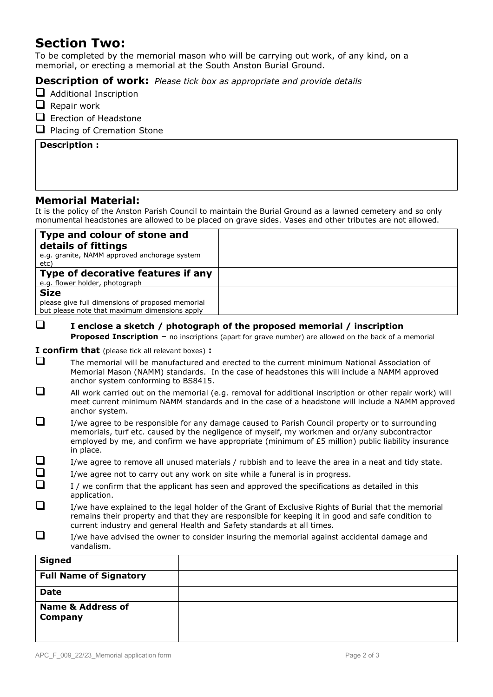### **Section Two:**

To be completed by the memorial mason who will be carrying out work, of any kind, on a memorial, or erecting a memorial at the South Anston Burial Ground.

#### **Description of work:** *Please tick box as appropriate and provide details*

- □ Additional Inscription
- ❑ Repair work
- □ Erection of Headstone
- □ Placing of Cremation Stone

#### **Description :**

#### **Memorial Material:**

It is the policy of the Anston Parish Council to maintain the Burial Ground as a lawned cemetery and so only monumental headstones are allowed to be placed on grave sides. Vases and other tributes are not allowed.

| Type and colour of stone and<br>details of fittings<br>e.g. granite, NAMM approved anchorage system<br>etc)      |  |
|------------------------------------------------------------------------------------------------------------------|--|
| Type of decorative features if any<br>e.g. flower holder, photograph                                             |  |
| <b>Size</b><br>please give full dimensions of proposed memorial<br>but please note that maximum dimensions apply |  |

### ❑ **I enclose a sketch / photograph of the proposed memorial / inscription**

**Proposed Inscription** – no inscriptions (apart for grave number) are allowed on the back of a memorial

#### **I confirm that** (please tick all relevant boxes) **:**

- ❑ The memorial will be manufactured and erected to the current minimum National Association of Memorial Mason (NAMM) standards. In the case of headstones this will include a NAMM approved anchor system conforming to BS8415.
- ❑ All work carried out on the memorial (e.g. removal for additional inscription or other repair work) will meet current minimum NAMM standards and in the case of a headstone will include a NAMM approved anchor system.
- ❑ I/we agree to be responsible for any damage caused to Parish Council property or to surrounding memorials, turf etc. caused by the negligence of myself, my workmen and or/any subcontractor employed by me, and confirm we have appropriate (minimum of £5 million) public liability insurance in place.
- $\square$  I/we agree to remove all unused materials / rubbish and to leave the area in a neat and tidy state.
- $\Box$  I/we agree not to carry out any work on site while a funeral is in progress.
- $\Box$  I / we confirm that the applicant has seen and approved the specifications as detailed in this application.
- ❑ I/we have explained to the legal holder of the Grant of Exclusive Rights of Burial that the memorial remains their property and that they are responsible for keeping it in good and safe condition to current industry and general Health and Safety standards at all times.
- $\Box$  I/we have advised the owner to consider insuring the memorial against accidental damage and vandalism.

| <b>Signed</b>                           |  |
|-----------------------------------------|--|
| <b>Full Name of Signatory</b>           |  |
| <b>Date</b>                             |  |
| <b>Name &amp; Address of</b><br>Company |  |